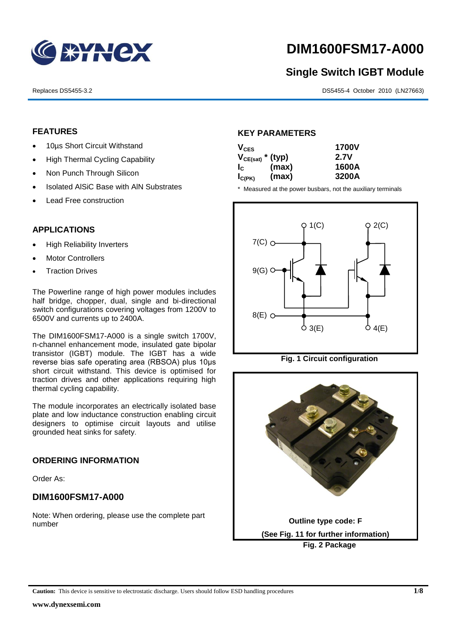

# **DIM1600FSM17-A000**

## **Single Switch IGBT Module**

Replaces DS5455-3.2 DS5455-4 October 2010 (LN27663)

#### **FEATURES**

- 10µs Short Circuit Withstand
- High Thermal Cycling Capability
- Non Punch Through Silicon
- Isolated AISiC Base with AIN Substrates
- Lead Free construction

#### **APPLICATIONS**

- High Reliability Inverters
- Motor Controllers
- Traction Drives

The Powerline range of high power modules includes half bridge, chopper, dual, single and bi-directional switch configurations covering voltages from 1200V to 6500V and currents up to 2400A.

The DIM1600FSM17-A000 is a single switch 1700V, n-channel enhancement mode, insulated gate bipolar transistor (IGBT) module. The IGBT has a wide reverse bias safe operating area (RBSOA) plus 10μs short circuit withstand. This device is optimised for traction drives and other applications requiring high thermal cycling capability.

The module incorporates an electrically isolated base plate and low inductance construction enabling circuit designers to optimise circuit layouts and utilise grounded heat sinks for safety.

#### **ORDERING INFORMATION**

Order As:

#### **DIM1600FSM17-A000**

Note: When ordering, please use the complete part number

#### **KEY PARAMETERS**

| $V_{CES}$             |       | <b>1700V</b> |
|-----------------------|-------|--------------|
| $V_{CE(sat)}$ * (typ) |       | 2.7V         |
| $I_{\rm c}$           | (max) | 1600A        |
| $I_{C(PK)}$           | (max) | 3200A        |

\* Measured at the power busbars, not the auxiliary terminals





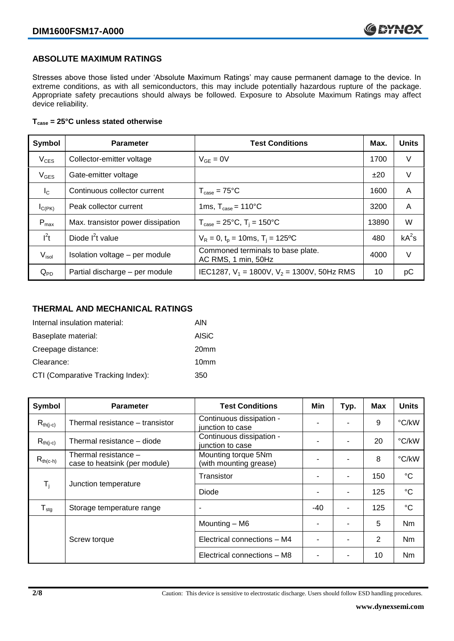#### **ABSOLUTE MAXIMUM RATINGS**

Stresses above those listed under 'Absolute Maximum Ratings' may cause permanent damage to the device. In extreme conditions, as with all semiconductors, this may include potentially hazardous rupture of the package. Appropriate safety precautions should always be followed. Exposure to Absolute Maximum Ratings may affect device reliability.

#### **Tcase = 25°C unless stated otherwise**

| Symbol           | <b>Parameter</b>                  | <b>Test Conditions</b>                                   | Max.  | <b>Units</b> |
|------------------|-----------------------------------|----------------------------------------------------------|-------|--------------|
| $V_{CES}$        | Collector-emitter voltage         | $V_{GF} = 0V$                                            | 1700  | V            |
| $V_{GES}$        | Gate-emitter voltage              |                                                          | ±20   | V            |
| $I_{\rm C}$      | Continuous collector current      | $T_{\text{case}} = 75^{\circ}C$                          | 1600  | A            |
| $I_{C(PK)}$      | Peak collector current            | 1ms, $T_{\text{case}} = 110^{\circ}$ C                   | 3200  | A            |
| $P_{\text{max}}$ | Max. transistor power dissipation | $T_{\text{case}} = 25^{\circ}C$ , $T_i = 150^{\circ}C$   | 13890 | W            |
| $I^2t$           | Diode $I^2t$ value                | $V_R = 0$ , $t_p = 10$ ms, $T_i = 125$ °C                | 480   | $kA^2s$      |
| $V_{\sf isol}$   | Isolation voltage - per module    | Commoned terminals to base plate.<br>AC RMS, 1 min, 50Hz | 4000  | V            |
| $Q_{PD}$         | Partial discharge - per module    | IEC1287, $V_1$ = 1800V, $V_2$ = 1300V, 50Hz RMS          | 10    | рC           |

#### **THERMAL AND MECHANICAL RATINGS**

| Internal insulation material:     | AIN              |
|-----------------------------------|------------------|
| Baseplate material:               | <b>AISiC</b>     |
| Creepage distance:                | 20 <sub>mm</sub> |
| Clearance:                        | 10 <sub>mm</sub> |
| CTI (Comparative Tracking Index): | 350              |

| Symbol                    | <b>Parameter</b>                                      | <b>Test Conditions</b>                        | Min   | Typ. | Max            | <b>Units</b>    |
|---------------------------|-------------------------------------------------------|-----------------------------------------------|-------|------|----------------|-----------------|
| $R_{th(j-c)}$             | Thermal resistance - transistor                       | Continuous dissipation -<br>junction to case  |       |      | 9              | °C/kW           |
| $R_{th(i-c)}$             | Thermal resistance - diode                            | Continuous dissipation -<br>junction to case  |       |      | 20             | °C/kW           |
| $R_{th(c-h)}$             | Thermal resistance -<br>case to heatsink (per module) | Mounting torque 5Nm<br>(with mounting grease) |       |      | 8              | °C/kW           |
| $\mathsf{T}_{\mathsf{i}}$ | Junction temperature                                  | Transistor                                    |       | ۰    | 150            | $\rm ^{\circ}C$ |
|                           |                                                       | Diode                                         |       |      | 125            | $\rm ^{\circ}C$ |
| $T_{\text{stg}}$          | Storage temperature range                             | $\overline{\phantom{a}}$                      | $-40$ |      | 125            | $^{\circ}C$     |
|                           |                                                       | Mounting - M6                                 |       |      | 5              | <b>Nm</b>       |
|                           | Screw torque                                          | Electrical connections - M4                   |       |      | $\overline{2}$ | <b>Nm</b>       |
|                           |                                                       | Electrical connections - M8                   |       |      | 10             | <b>Nm</b>       |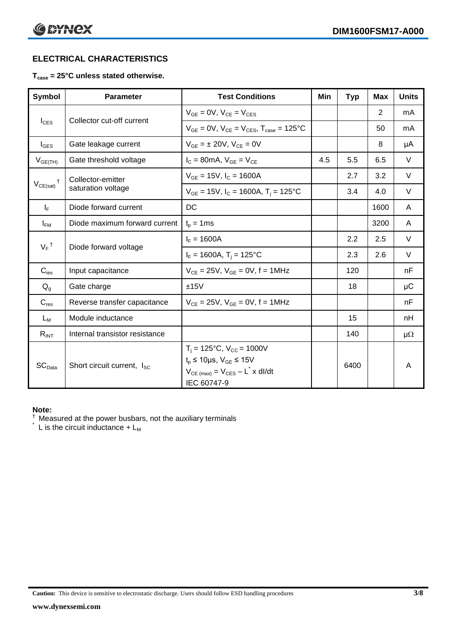### **ELECTRICAL CHARACTERISTICS**

#### **Tcase = 25°C unless stated otherwise.**

| <b>Symbol</b>      | <b>Parameter</b>                       | <b>Test Conditions</b>                                                                                                                                                | Min | <b>Typ</b> | <b>Max</b> | <b>Units</b> |
|--------------------|----------------------------------------|-----------------------------------------------------------------------------------------------------------------------------------------------------------------------|-----|------------|------------|--------------|
| $I_{CES}$          | Collector cut-off current              | $V_{GE} = 0V$ , $V_{CE} = V_{CES}$                                                                                                                                    |     |            | 2          | mA           |
|                    |                                        | $V_{GF} = 0V$ , $V_{CF} = V_{CES}$ , $T_{case} = 125^{\circ}C$                                                                                                        |     |            | 50         | mA           |
| $I_{\text{GES}}$   | Gate leakage current                   | $V_{GF} = \pm 20V$ , $V_{CE} = 0V$                                                                                                                                    |     |            | 8          | μA           |
| $V_{GE(TH)}$       | Gate threshold voltage                 | $I_c = 80$ mA, $V_{GE} = V_{CE}$                                                                                                                                      | 4.5 | 5.5        | 6.5        | $\vee$       |
| $V_{CE(sat)}$      | Collector-emitter                      | $V_{GE}$ = 15V, $I_C$ = 1600A                                                                                                                                         |     | 2.7        | 3.2        | V            |
|                    | saturation voltage                     | $V_{GE}$ = 15V, $I_C$ = 1600A, $T_i$ = 125°C                                                                                                                          |     | 3.4        | 4.0        | V            |
| $I_F$              | Diode forward current                  | DC                                                                                                                                                                    |     |            | 1600       | A            |
| $I_{FM}$           | Diode maximum forward current          | $t_p = 1$ ms                                                                                                                                                          |     |            | 3200       | A            |
| $V_F$ <sup>†</sup> | Diode forward voltage                  | $I_F = 1600A$                                                                                                                                                         |     | 2.2        | 2.5        | V            |
|                    |                                        | $I_F = 1600A$ , $T_i = 125^{\circ}C$                                                                                                                                  |     | 2.3        | 2.6        | V            |
| $C_{\text{ies}}$   | Input capacitance                      | $V_{CE} = 25V$ , $V_{GE} = 0V$ , f = 1MHz                                                                                                                             |     | 120        |            | nF           |
| $Q_g$              | Gate charge                            | ±15V                                                                                                                                                                  |     | 18         |            | μC           |
| $C_{res}$          | Reverse transfer capacitance           | $V_{CF} = 25V$ , $V_{GF} = 0V$ , f = 1MHz                                                                                                                             |     |            |            | nF           |
| $L_M$              | Module inductance                      |                                                                                                                                                                       |     | 15         |            | nH           |
| $R_{INT}$          | Internal transistor resistance         |                                                                                                                                                                       |     | 140        |            | μ $Ω$        |
| SC <sub>Data</sub> | Short circuit current, I <sub>SC</sub> | $T_i = 125$ °C, V <sub>CC</sub> = 1000V<br>$t_p \le 10 \mu s$ , $V_{GE} \le 15V$<br>$V_{CE \text{ (max)}} = V_{CES} - L^{\dagger} \times \text{dI/dt}$<br>IEC 60747-9 |     | 6400       |            | A            |

#### **Note:**

 $\dagger$  Measured at the power busbars, not the auxiliary terminals

 $\check{}$  L is the circuit inductance +  $L_M$ 

**Caution:** This device is sensitive to electrostatic discharge. Users should follow ESD handling procedures **3/8**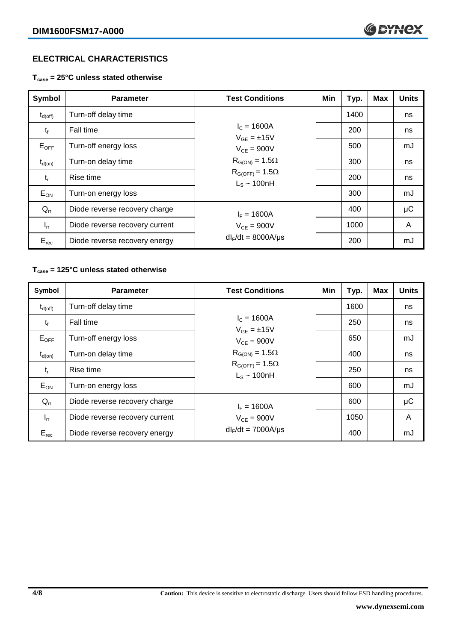#### **ELECTRICAL CHARACTERISTICS**

**Tcase = 25°C unless stated otherwise**

| Symbol              | <b>Parameter</b>               | <b>Test Conditions</b>                       | Min | Typ. | <b>Max</b> | <b>Units</b> |
|---------------------|--------------------------------|----------------------------------------------|-----|------|------------|--------------|
| $t_{d(\text{off})}$ | Turn-off delay time            |                                              |     | 1400 |            | ns           |
| $t_{f}$             | Fall time                      | $I_c = 1600A$<br>$V_{GF} = \pm 15V$          |     | 200  |            | ns           |
| $E_{OFF}$           | Turn-off energy loss           | $V_{CF} = 900V$<br>$R_{G(ON)} = 1.5\Omega$   |     | 500  |            | mJ           |
| $t_{d(on)}$         | Turn-on delay time             |                                              |     | 300  |            | ns           |
| $t_{r}$             | Rise time                      | $R_{G(OFF)} = 1.5\Omega$<br>$L_s \sim 100hH$ |     | 200  |            | ns           |
| $E_{ON}$            | Turn-on energy loss            |                                              |     | 300  |            | mJ           |
| $Q_{rr}$            | Diode reverse recovery charge  | $I_F = 1600A$                                |     | 400  |            | μC           |
| $I_{rr}$            | Diode reverse recovery current | $V_{CE}$ = 900V                              |     | 1000 |            | A            |
| $E_{rec}$           | Diode reverse recovery energy  | $dl_F/dt = 8000A/\mu s$                      |     | 200  |            | mJ           |

#### **Tcase = 125°C unless stated otherwise**

| Symbol              | <b>Parameter</b>               | <b>Test Conditions</b>                       | Min | Typ. | <b>Max</b> | <b>Units</b> |
|---------------------|--------------------------------|----------------------------------------------|-----|------|------------|--------------|
| $t_{d(\text{off})}$ | Turn-off delay time            |                                              |     | 1600 |            | ns           |
| $t_{f}$             | Fall time                      | $I_c = 1600A$<br>$V_{GF} = \pm 15V$          |     | 250  |            | ns           |
| $E_{OFF}$           | Turn-off energy loss           | $V_{CF} = 900V$<br>$R_{G(ON)} = 1.5\Omega$   |     | 650  |            | mJ           |
| $t_{d(on)}$         | Turn-on delay time             |                                              |     | 400  |            | ns           |
| $t_{r}$             | Rise time                      | $R_{G(OFF)} = 1.5\Omega$<br>$L_s \sim 100nH$ |     | 250  |            | ns           |
| $E_{ON}$            | Turn-on energy loss            |                                              |     | 600  |            | mJ           |
| $Q_{rr}$            | Diode reverse recovery charge  | $I_F = 1600A$<br>$V_{CE}$ = 900V             |     | 600  |            | μC           |
| $I_{rr}$            | Diode reverse recovery current |                                              |     | 1050 |            | A            |
| $E_{rec}$           | Diode reverse recovery energy  | $dl_F/dt = 7000A/\mu s$                      |     | 400  |            | mJ           |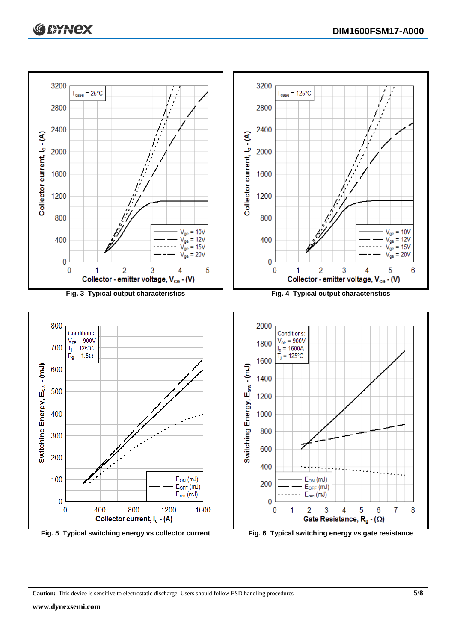

**Caution:** This device is sensitive to electrostatic discharge. Users should follow ESD handling procedures **5/8**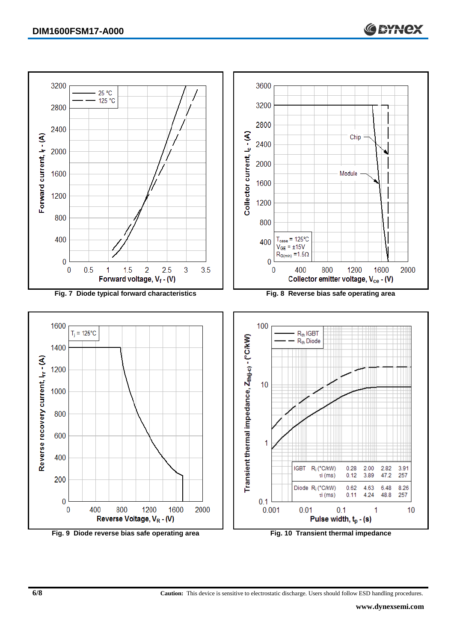

**6/8 Caution:** This device is sensitive to electrostatic discharge. Users should follow ESD handling procedures.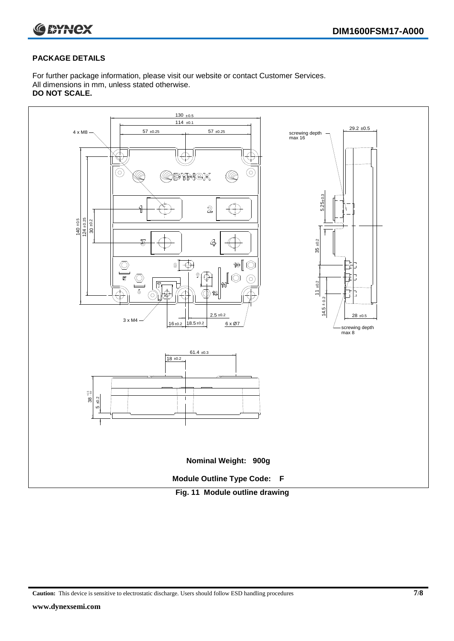

#### **PACKAGE DETAILS**

For further package information, please visit our website or contact Customer Services. All dimensions in mm, unless stated otherwise. **DO NOT SCALE.**



**Caution:** This device is sensitive to electrostatic discharge. Users should follow ESD handling procedures **7/8**